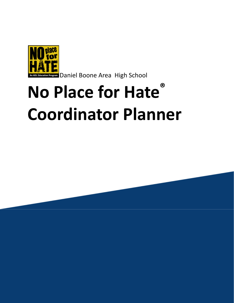

**DREGERER DANIEL BOONE Area High School** 

# **No Place for Hate ® Coordinator Planner**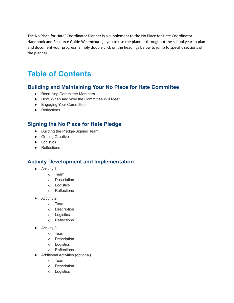The No Place for Hate ® Coordinator Planner is a supplement to the No Place for Hate Coordinator Handbook and Resource Guide We encourage you to use the planner throughout the school year to plan and document your progress. Simply double click on the headings below to jump to specific sections of the planner.

# **Table of Contents**

### **Building and [Maintaining](#page-3-0) Your No Place for Hate Committee**

- Recruiting [Committee](#page-3-1) Members
- How, When and Why the [Committee](#page-4-0) Will Meet
- Engaging Your [Committee](#page-4-1)
- Reflections

### **[Signing](#page-7-0) the No Place for Hate Pledge**

- Building the [Pledge-Signing](#page-8-0) Team
- Getting [Creative](#page-8-1)
- [Logistics](#page-8-2)
- Reflections

### **Activity Development and [Implementation](#page-10-0)**

- [Activity](#page-10-1) 1
	- o [Team](#page-10-2)
	- o [Description](#page-10-3)
	- o [Logistics](#page-11-0)
	- o Reflections
- [Activity](#page-12-0) 2
	- o [Team](#page-12-1)
	- o [Description](#page-12-2)
	- o [Logistics](#page-13-0)
	- o [Reflections](#page-14-0)
- [Activity](#page-15-0) 3
	- o [Team](#page-15-1)
	- o Description
	- o [Logistics](#page-16-0)
	- o [Reflections](#page-16-1)
- [Additional](#page-17-0) Activities (optional)
	- o [Team](#page-17-1)
	- o [Description](#page-17-2)
	- o [Logistics](#page-17-3)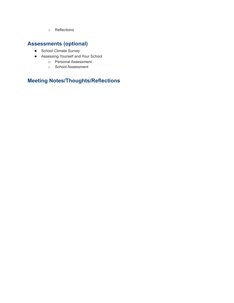o [Reflections](#page-18-0)

# **[Assessments](#page-19-0) (optional)**

- School [Climate](#page-19-1) Survey
- [Assessing](#page-19-2) Yourself and Your School
	- o Personal [Assessment](#page-20-0)
	- o School [Assessment](#page-20-1)

# **Meeting [Notes/Thoughts/Reflections](#page-21-0)**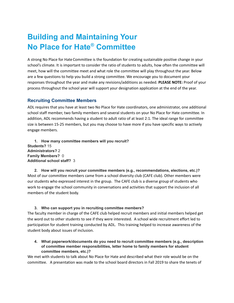# <span id="page-3-0"></span>**Building and Maintaining Your No Place for Hate ® Committee**

A strong No Place for Hate Committee is the foundation for creating sustainable positive change in your school's climate. It is important to consider the ratio of students to adults, how often the committee will meet, how will the committee meet and what role the committee will play throughout the year. Below are a few questions to help you build a strong committee. We encourage you to document your responses throughout the year and make any revisions/additions as needed. **PLEASE NOTE:** Proof of your process throughout the school year will support your designation application at the end of the year.

#### <span id="page-3-1"></span>**Recruiting Committee Members**

ADL requires that you have at least two No Place for Hate coordinators, one administrator, one additional school staff member, two family members and several students on your No Place for Hate committee. In addition, ADL recommends having a student to adult ratio of at least 2:1. The ideal range for committee size is between 15-25 members, but you may choose to have more if you have specific ways to actively engage members.

**1. How many committee members will you recruit? Students?** 15 **Administrators?** 2 **Family Members?** 0 **Additional school staff?** 3

**2. How will you recruit your committee members (e.g., recommendations, elections, etc.)?** Most of our committee members came from a school diversity club (CAFE club). Other members were our students who expressed interest in the group. The CAFE club is a diverse group of students who work to engage the school community in conversations and activities that support the inclusion of all members of the student body.

#### **3. Who can support you in recruiting committee members?**

The faculty member in charge of the CAFE club helped recruit members and initial members helped get the word out to other students to see if they were interested. A school wide recruitment effort led to participation for student training conducted by ADL. This training helped to increase awareness of the student body about issues of inclusion.

**4. What paperwork/documents do you need to recruit committee members (e.g., description of committee member responsibilities, letter home to family members for student committee members, etc.)?**

We met with students to talk about No Place for Hate and described what their role would be on the committee. A presentation was made to the school board directors in Fall 2019 to share the tenets of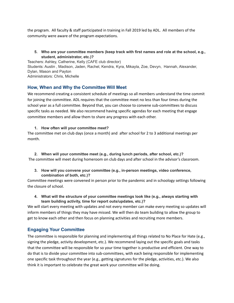the program. All faculty & staff participated in training in Fall 2019 led by ADL. All members of the community were aware of the program expectations.

**5. Who are your committee members (keep track with first names and role at the school, e.g., student, administrator, etc.)?**

Teachers: Ashley, Catherine, Kelly (CAFE club director) Students: Austin , Madison, Jaden, Rachel, Kendra, Kyra, Mikayla, Zoe, Devyn, Hannah, Alexander, Dylan, Mason and Payton Administrators: Chris, Michelle

#### <span id="page-4-0"></span>**How, When and Why the Committee Will Meet**

We recommend creating a consistent schedule of meetings so all members understand the time commit for joining the committee. ADL requires that the committee meet no less than four times during the school year as a full committee. Beyond that, you can choose to convene sub-committees to discuss specific tasks as needed. We also recommend having specific agendas for each meeting that engage committee members and allow them to share any progress with each other.

#### **1. How often will your committee meet?**

The committee met on club days (once a month) and after school for 2 to 3 additional meetings per month.

**2. When will your committee meet (e.g., during lunch periods, after school, etc.)?** The committee will meet during homeroom on club days and after school in the advisor's classroom.

**3. How will you convene your committee (e.g., in-person meetings, video conference, combination of both, etc.)?**

Committee meetings were convened in person prior to the pandemic and in schoology settings following the closure of school.

**4. What will the structure of your committee meetings look like (e.g., always starting with team building activity, time for report outs/updates, etc.)?**

We will start every meeting with updates and not every member can make every meeting so updates will inform members of things they may have missed. We will then do team building to allow the group to get to know each other and then focus on planning activities and recruiting more members.

#### <span id="page-4-1"></span>**Engaging Your Committee**

The committee is responsible for planning and implementing all things related to No Place for Hate (e.g., signing the pledge, activity development, etc.). We recommend laying out the specific goals and tasks that the committee will be responsible for so your time together is productive and efficient. One way to do that is to divide your committee into sub-committees, with each being responsible for implementing one specific task throughout the year (e.g., getting signatures for the pledge, activities, etc.). We also think it is important to celebrate the great work your committee will be doing.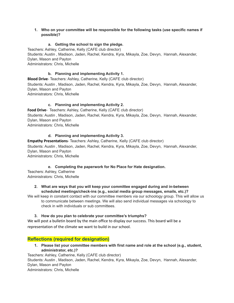#### **1. Who on your committee will be responsible for the following tasks (use specific names if possible)?**

#### **a. Getting the school to sign the pledge.**

Teachers: Ashley, Catherine, Kelly (CAFE club director)

Students: Austin , Madison, Jaden, Rachel, Kendra, Kyra, Mikayla, Zoe, Devyn, Hannah, Alexander, Dylan, Mason and Payton

Administrators: Chris, Michelle

#### **b. Planning and implementing Activity 1.**

**Blood Drive**- Teachers: Ashley, Catherine, Kelly (CAFE club director) Students: Austin , Madison, Jaden, Rachel, Kendra, Kyra, Mikayla, Zoe, Devyn, Hannah, Alexander, Dylan, Mason and Payton Administrators: Chris, Michelle

#### **c. Planning and implementing Activity 2.**

**Food Drive**- Teachers: Ashley, Catherine, Kelly (CAFE club director) Students: Austin , Madison, Jaden, Rachel, Kendra, Kyra, Mikayla, Zoe, Devyn, Hannah, Alexander, Dylan, Mason and Payton Administrators: Chris, Michelle

#### **d. Planning and implementing Activity 3.**

**Empathy Presentations**- Teachers: Ashley, Catherine, Kelly (CAFE club director) Students: Austin , Madison, Jaden, Rachel, Kendra, Kyra, Mikayla, Zoe, Devyn, Hannah, Alexander, Dylan, Mason and Payton Administrators: Chris, Michelle

#### **e. Completing the paperwork for No Place for Hate designation.**

Teachers: Ashley, Catherine Administrators: Chris, Michelle

#### **2. What are ways that you will keep your committee engaged during and in-between scheduled meetings/check-ins (e.g., social media group messages, emails, etc.)?**

We will keep in constant contact with our committee members via our schoology group. This will allow us to communicate between meetings. We will also send individual messages via schoology to check in with individuals or sub committees.

#### **3. How do you plan to celebrate your committee's triumphs?**

We will post a bulletin board by the main office to display our success. This board will be a representation of the climate we want to build in our school.

#### **Reflections (required for designation)**

**1. Please list your committee members with first name and role at the school (e.g., student, administrator, etc.)?**

Teachers: Ashley, Catherine, Kelly (CAFE club director) Students: Austin , Madison, Jaden, Rachel, Kendra, Kyra, Mikayla, Zoe, Devyn, Hannah, Alexander, Dylan, Mason and Payton Administrators: Chris, Michelle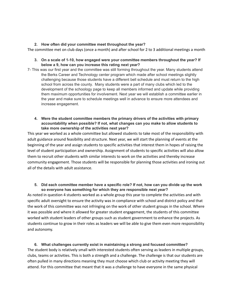#### **2. How often did your committee meet throughout the year?**

The committee met on club days (once a month) and after school for 2 to 3 additional meetings a month

#### **3. On a scale of 1-10, how engaged were your committee members throughout the year? If below a 9, how can you increase this rating next year?**

- 7- This was our first year and the committee was still forming throughout the year. Many students attend the Berks Career and Technology center program which made after school meetings slightly challenging because those students have a different bell schedule and must return to the high school from across the county. Many students were a part of many clubs which led to the development of the schoology page to keep all members informed and update while providing them maximum opportunities for involvement. Next year we will establish a committee earlier in the year and make sure to schedule meetings well in advance to ensure more attendees and increase engagement.
	- **4. Were the student committee members the primary drivers of the activities with primary accountability when possible? If not, what changes can you make to allow students to take more ownership of the activities next year?**

This year we worked as a whole committee but allowed students to take most of the responsibility with adult guidance around feasibility and structure. Next year, we will start the planning of events at the beginning of the year and assign students to specific activities that interest them in hopes of raising the level of student participation and ownership. Assignment of students to specific activities will also allow them to recruit other students with similar interests to work on the activities and thereby increase community engagement. Those students will be responsible for planning those activities and ironing out all of the details with adult assistance.

#### **5. Did each committee member have a specific role? If not, how can you divide up the work so everyone has something for which they are responsible next year?**

As noted in question 4 students worked as a whole group this year to complete the activities and with specific adult oversight to ensure the activity was in compliance with school and district policy and that the work of this committee was not infringing on the work of other student groups in the school. Where it was possible and where it allowed for greater student engagement, the students of this committee worked with student leaders of other groups such as student government to enhance the projects. As students continue to grow in their roles as leaders we will be able to give them even more responsibility and autonomy.

#### **6. What challenges currently exist in maintaining a strong and focused committee?** The student body is relatively small with interested students often serving as leaders in multiple groups, clubs, teams or activities. This is both a strength and a challenge. The challenge is that our students are often pulled in many directions meaning they must choose which club or activity meeting they will attend. For this committee that meant that it was a challenge to have everyone in the same physical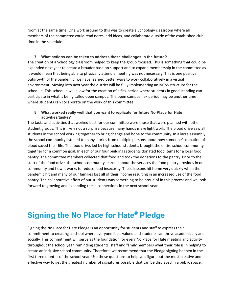room at the same time. One work around to this was to create a Schoology classroom where all members of the committee could read notes, add ideas, and collaborate outside of the established club time in the schedule.

**7. What actions can be taken to address these challenges in the future?** The creation of a Schoology classroom helped to keep the group focused. This is something that could be expanded next year to create a broader base on support and to expand membership in the committee as it would mean that being able to physically attend a meeting was not necessary. This is one positive outgrowth of the pandemic, we have learned better ways to work collaboratively in a virtual environment. Moving into next year the district will be fully implementing an MTSS structure for the schedule. This schedule will allow for the creation of a flex period where students in good standing can participate in what is being called open campus. The open campus flex period may be another time where students can collaborate on the work of this committee.

#### **8. What worked really well that you want to replicate for future No Place for Hate activities/tasks?**

The tasks and activities that worked best for our committee were those that were planned with other student groups. This is likely not a surprise because many hands make light work. The blood drive saw all students in the school working together to bring change and hope to the community. In a large assembly the school community listened to many stories from multiple persons about how someone's donation of blood saved their life. The food drive, led by high school students, brought the entire school community together for a common goal. In each of our four buildings students donated food items for a local food pantry. The committee members collected that food and took the donations to the pantry. Prior to the start of the food drive, the school community learned about the services the food pantry provides in our community and how it works to reduce food insecurity. These lessons hit home very quickly when the pandemic hit and many of our families lost all of their income resulting in an increased use of the food pantry. The collaborative effort of our students was something to be proud of in this process and we look forward to growing and expanding these connections in the next school year.

# <span id="page-7-0"></span>**Signing the No Place for Hate ® Pledge**

Signing the No Place for Hate Pledge is an opportunity for students and staff to express their commitment to creating a school where everyone feels valued and students can thrive academically and socially. This commitment will serve as the foundation for every No Place for Hate meeting and activity throughout the school year, reminding students, staff and family members what their role is in helping to create an inclusive school community. Therefore, we recommend that the Pledge signing happen in the first three months of the school year. Use these questions to help you figure out the most creative and effective way to get the greatest number of signatures possible that can be displayed in a public space.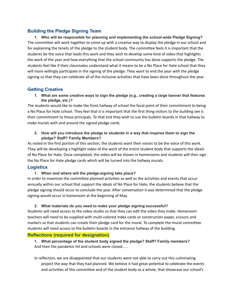#### <span id="page-8-0"></span>**Building the Pledge Signing Team**

**1. Who will be responsible for planning and implementing the school-wide Pledge Signing?** The committee will work together to come up with a creative way to display the pledge in our school and for explaining the tenets of the pledge to the student body. The committee feels it is important that the students be the voice that leads this work and they wish to develop some kind of video that highlights the work of the year and how everything that the school community has done supports the pledge. The students feel like if their classmates understand what it means to be a No Place for Hate school that they will more willingly participate in the signing of the pledge. They want to end the year with the pledge signing so that they can celebrate all of the inclusive activities that have been done throughout the year.

#### <span id="page-8-1"></span>**Getting Creative**

**1. What are some creative ways to sign the pledge (e.g., creating a large banner that features the pledge, etc.)?**

The students would like to make the front hallway of school the focal point of their commitment to being a No Place for Hate school. They feel that it is important that the first thing visitors to the building see is their commitment to these principals. To that end they wish to use the bulletin boards in that hallway to make murals with and around the signed pledge cards.

#### **2. How will you introduce the pledge to students in a way that inspires them to sign the pledge? Staff? Family Members?**

As noted in the first portion of this section, the students want their voices to be the voice of this work. They will be developing a highlight video of the work of the entire student body that supports the ideals of No Place for Hate. Once completed, the video will be shown in homerooms and students will then sign the No Place for Hate pledge cards which will be turned into the hallway murals.

#### <span id="page-8-2"></span>**Logistics**

#### **1. When and where will the pledge-signing take place?**

In order to maximize the committee planned activities as well as the activities and events that occur annually within our school that support the ideals of No Place for Hate, the students believe that the pledge signing should occur to conclude the year. After conversation it was determined that the pledge signing would occur in homeroom at the beginning of May.

#### **2. What materials do you need to make your pledge signing successful?**

Students will need access to the video studio so that they can edit the video they make. Homeroom teachers will need to be supplied with multi-colored index cards or construction paper, scissors and markers so that students can create their pledge card for the mural. To complete the mural committee students will need access to the bulletin boards in the entrance hallway of the building.

#### **Reflections (required for designation)**

**1. What percentage of the student body signed the pledge? Staff? Family members?** And then the pandemic hit and schools were closed….

In reflection, we are disappointed that our students were not able to carry out this culminating project the way that they had planned. We believe it had great potential to celebrate the events and activities of this committee and of the student body as a whole, that showcase our school's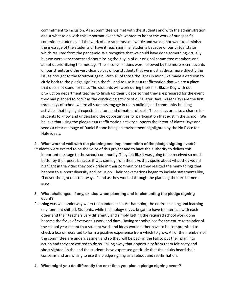commitment to inclusion. As a committee we met with the students and with the administration about what to do with this important event. We wanted to honor the work of our specific committee students and the work of our students as a whole and we did not want to diminish the message of the students or have it reach minimal students because of our virtual status which resulted from the pandemic. We recognize that we could have done something virtually but we were very concerned about losing the buy in of our original committee members and about deprioritizing the message. These conversations were followed by the more recent events on our streets and the very clear voices of our students that we must address more directly the issues brought to the forefront again. With all of those thoughts in mind, we made a decision to circle back to the pledge signing in the fall and to use it as a reaffirmation that we are a place that does not stand for hate. The students will work during their first Blazer Day with our production department teacher to finish up their videos so that they are prepared for the event they had planned to occur as the concluding activity of our Blazer Days. Blazer Days are the first three days of school where all students engage in team building and community building activities that highlight expected culture and climate protocols. These days are also a chance for students to know and understand the opportunities for participation that exist in the school. We believe that using the pledge as a reaffirmation activity supports the intent of Blazer Days and sends a clear message of Daniel Boone being an environment highlighted by the No Place for Hate ideals.

#### **2. What worked well with the planning and implementation of the pledge signing event?**

Students were excited to be the voice of this project and to have the authority to deliver this important message to the school community. They felt like it was going to be received so much better by their peers because it was coming from them. As they spoke about what they would highlight in the video they took pride in their community as they realized the many things that happen to support diversity and inclusion. Their conversations began to include statements like, "I never thought of it that way…" and as they worked through the planning their excitement grew.

#### **3. What challenges, if any, existed when planning and implementing the pledge signing event?**

- Planning was well underway when the pandemic hit. At that point, the entire teaching and learning environment shifted. Students, while technology savvy, began to have to interface with each other and their teachers very differently and simply getting the required school work done became the focus of everyone's work and days. Having schools close for the entire remainder of the school year meant that student work and ideas would either have to be compromised to check a box or recrafted to form a positive experience from which to grow. All of the members of the committee are underclassmen and so they will be back in the Fall to put their plan into action and they are excited to do so. Taking away that opportunity from them felt hasty and short sighted. In the end the students have expressed gratitude that the adults heard their concerns and are willing to use the pledge signing as a reboot and reaffirmation.
- **4. What might you do differently the next time you plan a pledge signing event?**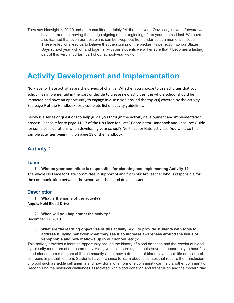They say hindsight is 20/20 and our committee certainly felt that this year. Obviously, moving forward we have learned that having the pledge signing at the beginning of the year seems ideal. We have also learned that even our best plans can be swept out from under us at a moment's notice. These reflections lead us to believe that the signing of the pledge fits perfectly into our Blazer Days school year kick off and together with our students we will ensure that it becomes a lasting part of this very important part of our school-year kick off.

# <span id="page-10-0"></span>**Activity Development and Implementation**

No Place for Hate activities are the drivers of change. Whether you choose to use activities that your school has implemented in the past or decide to create new activities, the whole school should be impacted and have an opportunity to engage in discussion around the topic(s) covered by the activity. See page 9 of the Handbook for a complete list of activity guidelines.

Below is a series of questions to help guide you through the activity development and implementation process. Please refer to page 11-17 of the No Place for Hate ® Coordinator Handbook and Resource Guide for some considerations when developing your school's No Place for Hate activities. You will also find sample activities beginning on page 18 of the handbook.

### <span id="page-10-1"></span>**Activity 1**

#### <span id="page-10-2"></span>**Team**

**1. Who on your committee is responsible for planning and implementing Activity 1?** The whole No Place for Hate committee in support of and from our Art Teacher who is responsible for the communication between the school and the blood drive contact.

#### <span id="page-10-3"></span>**Description**

**1. What is the name of the activity?** Angela Hohl Blood Drive

**2. When will you implement the activity?** December 17, 2019

**3. What are the learning objectives of this activity (e.g., to provide students with tools to address bullying behavior when they see it, to increase awareness around the issue of xenophobia and how it shows up in our school, etc.)?**

This activity provides a learning opportunity around the history of blood donation and the receipt of blood by minority members of our community. Along with this learning students have the opportunity to hear first hand stories from members of the community about how a donation of blood saved their life or the life of someone important to them. Students have a chance to learn about diseases that require the transfusion of blood such as sickle cell anemia and how donations from one community can help another community. Recognizing the historical challenges associated with blood donation and transfusion and the modern day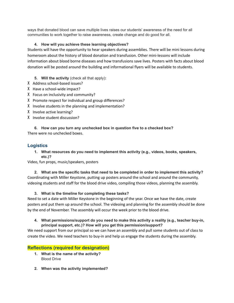ways that donated blood can save multiple lives raises our students' awareness of the need for all communities to work together to raise awareness, create change and do good for all.

#### **4. How will you achieve these learning objectives?**

Students will have the opportunity to hear speakers during assemblies. There will be mini lessons during homeroom about the history of blood donation and transfusion. Other mini-lessons will include information about blood borne diseases and how transfusions save lives. Posters with facts about blood donation will be posted around the building and informational flyers will be available to students.

#### **5. Will the activity** (check all that apply)**:**

- X Address school-based issues?
- X Have a school-wide impact?
- X Focus on inclusivity and community?
- X Promote respect for individual and group differences?
- X Involve students in the planning and implementation?
- X Involve active learning?
- X Involve student discussion?

**6. How can you turn any unchecked box in question five to a checked box?** There were no unchecked boxes.

#### <span id="page-11-0"></span>**Logistics**

**1. What resources do you need to implement this activity (e.g., videos, books, speakers, etc.)?**

Video, fun props, music/speakers, posters

**2. What are the specific tasks that need to be completed in order to implement this activity?** Coordinating with Miller Keystone, putting up posters around the school and around the community, videoing students and staff for the blood drive video, compiling those videos, planning the assembly.

#### **3. What is the timeline for completing these tasks?**

Need to set a date with Miller Keystone in the beginning of the year. Once we have the date, create posters and put them up around the school. The videoing and planning for the assembly should be done by the end of November. The assembly will occur the week prior to the blood drive.

#### **4. What permissions/support do you need to make this activity a reality (e.g., teacher buy-in, principal support, etc.)? How will you get this permission/support?**

We need support from our principal so we can have an assembly and pull some students out of class to create the video. We need teachers to buy-in and help us engage the students during the assembly.

#### **Reflections (required for designation)**

- **1. What is the name of the activity?** Blood Drive
- **2. When was the activity implemented?**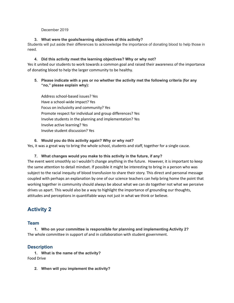#### December 2019

#### **3. What were the goals/learning objectives of this activity?**

Students will put aside their differences to acknowledge the importance of donating blood to help those in need.

#### **4. Did this activity meet the learning objectives? Why or why not?**

Yes it united our students to work towards a common goal and raised their awareness of the importance of donating blood to help the larger community to be healthy.

#### **5. Please indicate with a yes or no whether the activity met the following criteria (for any "no," please explain why):**

Address school-based issues? Yes Have a school-wide impact? Yes Focus on inclusivity and community? Yes Promote respect for individual and group differences? Yes Involve students in the planning and implementation? Yes Involve active learning? Yes Involve student discussion? Yes

#### **6. Would you do this activity again? Why or why not?** Yes, it was a great way to bring the whole school, students and staff, together for a single cause.

#### **7. What changes would you make to this activity in the future, if any?**

The event went smoothly so I wouldn't change anything in the future. However, it is important to keep the same attention to detail mindset. If possible it might be interesting to bring in a person who was subject to the racial inequity of blood transfusion to share their story. This direct and personal message coupled with perhaps an explanation by one of our science teachers can help bring home the point that working together in community should always be about what we can do together not what we perceive drives us apart. This would also be a way to highlight the importance of grounding our thoughts, attitudes and perceptions in quantifiable ways not just in what we think or believe.

# <span id="page-12-0"></span>**Activity 2**

#### <span id="page-12-1"></span>**Team**

**1. Who on your committee is responsible for planning and implementing Activity 2?** The whole committee in support of and in collaboration with student government.

#### <span id="page-12-2"></span>**Description**

**1. What is the name of the activity?** Food Drive

**2. When will you implement the activity?**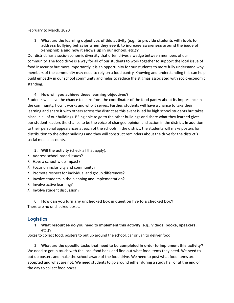#### February to March, 2020

**3. What are the learning objectives of this activity (e.g., to provide students with tools to address bullying behavior when they see it, to increase awareness around the issue of xenophobia and how it shows up in our school, etc.)?**

Our district has a socio-economic diversity that often drives a wedge between members of our community. The food drive is a way for all of our students to work together to support the local issue of food insecurity but more importantly it is an opportunity for our students to more fully understand why members of the community may need to rely on a food pantry. Knowing and understanding this can help build empathy in our school community and helps to reduce the stigmas associated with socio-economic standing.

#### **4. How will you achieve these learning objectives?**

Students will have the chance to learn from the coordinator of the food pantry about its importance in the community, how it works and who it serves. Further, students will have a chance to take their learning and share it with others across the district as this event is led by high school students but takes place in all of our buildings. BEing able to go to the other buildings and share what they learned gives our student leaders the chance to be the voice of changed opinion and action in the district. In addition to their personal appearances at each of the schools in the district, the students will make posters for distribution to the other buildings and they will construct reminders about the drive for the district's social media accounts.

- **5. Will the activity** (check all that apply):
- X Address school-based issues?
- X Have a school-wide impact?
- X Focus on inclusivity and community?
- X Promote respect for individual and group differences?
- X Involve students in the planning and implementation?
- X Involve active learning?
- X Involve student discussion?

**6. How can you turn any unchecked box in question five to a checked box?** There are no unchecked boxes.

#### <span id="page-13-0"></span>**Logistics**

**1. What resources do you need to implement this activity (e.g., videos, books, speakers, etc.)?**

Boxes to collect food, posters to put up around the school, car or van to deliver food

**2. What are the specific tasks that need to be completed in order to implement this activity?** We need to get in touch with the local food bank and find out what food items they need. We need to put up posters and make the school aware of the food drive. We need to post what food items are accepted and what are not. We need students to go around either during a study hall or at the end of the day to collect food boxes.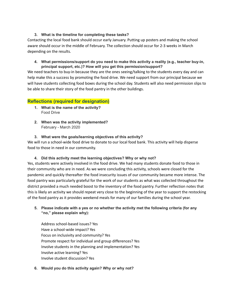#### **3. What is the timeline for completing these tasks?**

Contacting the local food bank should occur early January. Putting up posters and making the school aware should occur in the middle of February. The collection should occur for 2-3 weeks in March depending on the results.

#### **4. What permissions/support do you need to make this activity a reality (e.g., teacher buy-in, principal support, etc.)? How will you get this permission/support?**

We need teachers to buy-in because they are the ones seeing/talking to the students every day and can help make this a success by promoting the food drive. We need support from our principal because we will have students collecting food boxes during the school day. Students will also need permission slips to be able to share their story of the food pantry in the other buildings.

#### <span id="page-14-0"></span>**Reflections (required for designation)**

- **1. What is the name of the activity?** Food Drive
- **2. When was the activity implemented?** February - March 2020

#### **3. What were the goals/learning objectives of this activity?**

We will run a school-wide food drive to donate to our local food bank. This activity will help disperse food to those in need in our community.

#### **4. Did this activity meet the learning objectives? Why or why not?**

Yes, students were actively involved in the food drive. We had many students donate food to those in their community who are in need. As we were concluding this activity, schools were closed for the pandemic and quickly thereafter the food insecurity issues of our community became more intense. The food pantry was particularly grateful for the work of our students as what was collected throughout the district provided a much needed boost to the inventory of the food pantry. Further reflection notes that this is likely an activity we should repeat very close to the beginning of the year to support the restocking of the food pantry as it provides weekend meals for many of our families during the school year.

#### **5. Please indicate with a yes or no whether the activity met the following criteria (for any "no," please explain why):**

Address school-based issues? Yes Have a school-wide impact? Yes Focus on inclusivity and community? Yes Promote respect for individual and group differences? Yes Involve students in the planning and implementation? Yes Involve active learning? Yes Involve student discussion? Yes

#### **6. Would you do this activity again? Why or why not?**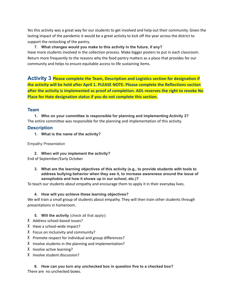Yes this activity was a great way for our students to get involved and help out their community. Given the lasting impact of the pandemic it would be a great activity to kick off the year across the district to support the restocking of the pantry.

**7. What changes would you make to this activity in the future, if any?** Have more students involved in the collection process. Make bigger posters to put in each classroom. Return more frequently to the reasons why the food pantry matters as a place that provides for our community and helps to ensure equitable access to life sustaining items.

**Activity 3 Please complete the Team, Description and Logistics section for designation if the activity will be held after April 1. PLEASE NOTE: Please complete the Reflections section after the activity is implemented as proof of completion. ADL reserves the right to revoke No Place for Hate designation status if you do not complete this section.**

#### <span id="page-15-1"></span><span id="page-15-0"></span>**Team**

**1. Who on your committee is responsible for planning and implementing Activity 3?** The entire committee was responsible for the planning and implementation of this activity.

#### **Description**

**1. What is the name of the activity?**

Empathy Presentation

**2. When will you implement the activity?**

End of September/Early October

**3. What are the learning objectives of this activity (e.g., to provide students with tools to address bullying behavior when they see it, to increase awareness around the issue of xenophobia and how it shows up in our school, etc.)?**

To teach our students about empathy and encourage them to apply it in their everyday lives.

**4. How will you achieve these learning objectives?**

We will train a small group of students about empathy. They will then train other students through presentations in homeroom.

#### **5. Will the activity** (check all that apply)**:**

- X Address school-based issues?
- X Have a school-wide impact?
- X Focus on inclusivity and community?
- X Promote respect for individual and group differences?
- X Involve students in the planning and implementation?
- X Involve active learning?
- X Involve student discussion?

**6. How can you turn any unchecked box in question five to a checked box?** There are no unchecked boxes.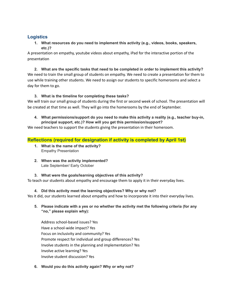#### <span id="page-16-0"></span>**Logistics**

**1. What resources do you need to implement this activity (e.g., videos, books, speakers, etc.)?**

A presentation on empathy, youtube videos about empathy, iPad for the interactive portion of the presentation

**2. What are the specific tasks that need to be completed in order to implement this activity?** We need to train the small group of students on empathy. We need to create a presentation for them to use while training other students. We need to assign our students to specific homerooms and select a day for them to go.

#### **3. What is the timeline for completing these tasks?**

We will train our small group of students during the first or second week of school. The presentation will be created at that time as well. They will go into the homerooms by the end of September.

#### **4. What permissions/support do you need to make this activity a reality (e.g., teacher buy-in, principal support, etc.)? How will you get this permission/support?**

<span id="page-16-1"></span>We need teachers to support the students giving the presentation in their homeroom.

#### **Reflections (required for designation if activity is completed by April 1st)**

- **1. What is the name of the activity?** Empathy Presentation
- **2. When was the activity implemented?** Late September/ Early October

#### **3. What were the goals/learning objectives of this activity?**

To teach our students about empathy and encourage them to apply it in their everyday lives.

#### **4. Did this activity meet the learning objectives? Why or why not?**

Yes it did, our students learned about empathy and how to incorporate it into their everyday lives.

**5. Please indicate with a yes or no whether the activity met the following criteria (for any "no," please explain why):**

Address school-based issues? Yes Have a school-wide impact? Yes Focus on inclusivity and community? Yes Promote respect for individual and group differences? Yes Involve students in the planning and implementation? Yes Involve active learning? Yes Involve student discussion? Yes

**6. Would you do this activity again? Why or why not?**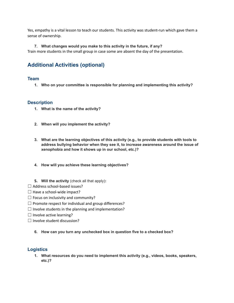Yes, empathy is a vital lesson to teach our students. This activity was student-run which gave them a sense of ownership.

## **7. What changes would you make to this activity in the future, if any?**

Train more students in the small group in case some are absent the day of the presentation.

# <span id="page-17-0"></span>**Additional Activities (optional)**

#### <span id="page-17-1"></span>**Team**

**1. Who on your committee is responsible for planning and implementing this activity?**

#### <span id="page-17-2"></span>**Description**

- **1. What is the name of the activity?**
- **2. When will you implement the activity?**
- **3. What are the learning objectives of this activity (e.g., to provide students with tools to address bullying behavior when they see it, to increase awareness around the issue of xenophobia and how it shows up in our school, etc.)?**
- **4. How will you achieve these learning objectives?**
- **5. Will the activity** (check all that apply)**:**
- $\Box$  Address school-based issues?
- $\Box$  Have a school-wide impact?
- $\Box$  Focus on inclusivity and community?
- $\Box$  Promote respect for individual and group differences?
- $\Box$  Involve students in the planning and implementation?
- $\Box$  Involve active learning?
- $\Box$  Involve student discussion?
	- **6. How can you turn any unchecked box in question five to a checked box?**

#### <span id="page-17-3"></span>**Logistics**

**1. What resources do you need to implement this activity (e.g., videos, books, speakers, etc.)?**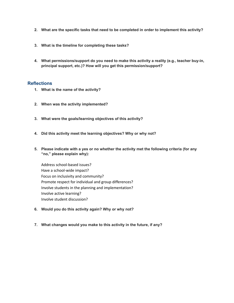- **2. What are the specific tasks that need to be completed in order to implement this activity?**
- **3. What is the timeline for completing these tasks?**
- **4. What permissions/support do you need to make this activity a reality (e.g., teacher buy-in, principal support, etc.)? How will you get this permission/support?**

#### <span id="page-18-0"></span>**Reflections**

- **1. What is the name of the activity?**
- **2. When was the activity implemented?**
- **3. What were the goals/learning objectives of this activity?**
- **4. Did this activity meet the learning objectives? Why or why not?**
- **5. Please indicate with a yes or no whether the activity met the following criteria (for any "no," please explain why):**

Address school-based issues? Have a school-wide impact? Focus on inclusivity and community? Promote respect for individual and group differences? Involve students in the planning and implementation? Involve active learning? Involve student discussion?

- **6. Would you do this activity again? Why or why not?**
- **7. What changes would you make to this activity in the future, if any?**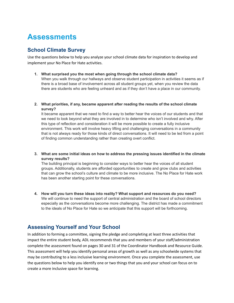# <span id="page-19-0"></span>**Assessments**

### <span id="page-19-1"></span>**School Climate Survey**

Use the questions below to help you analyze your school climate data for inspiration to develop and implement your No Place for Hate activities.

- **1. What surprised you the most when going through the school climate data?** When you walk through our hallways and observe student participation in activities it seems as if there is a broad base of involvement across all student groups yet, when you review the data there are students who are feeling unheard and as if they don't have a place in our community.
- **2. What priorities, if any, became apparent after reading the results of the school climate survey?**

It became apparent that we need to find a way to better hear the voices of our students and that we need to look beyond what they are involved in to determine who isn't involved and why. After this type of reflection and consideration it will be more possible to create a fully inclusive environment. This work will involve heavy lifting and challenging conversations in a community that is not always ready for those kinds of direct conversations. It will need to be led from a point of finding common understanding rather than creating overt conflict.

**3. What are some initial ideas on how to address the pressing issues identified in the climate survey results?**

The building principal is beginning to consider ways to better hear the voices of all student groups. Additionally, students are afforded opportunities to create and grow clubs and activities that can grow the school's culture and climate to be more inclusive. The No Place for Hate work has been another starting point for these conversations.

**4. How will you turn these ideas into reality? What support and resources do you need?** We will continue to need the support of central administration and the board of school directors especially as the conversations become more challenging. The district has made a commitment to the ideals of No Place for Hate so we anticipate that this support will be forthcoming.

### <span id="page-19-2"></span>**Assessing Yourself and Your School**

In addition to forming a committee, signing the pledge and completing at least three activities that impact the entire student body, ADL recommends that you and members of your staff/administration complete the assessment found on pages 30 and 31 of the Coordinator Handbook and Resource Guide. This assessment will help you identify personal areas of growth as well as any schoolwide systems that may be contributing to a less inclusive learning environment. Once you complete the assessment, use the questions below to help you identify one or two things that you and your school can focus on to create a more inclusive space for learning.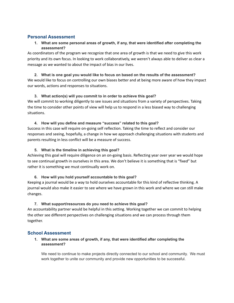#### <span id="page-20-0"></span>**Personal Assessment**

**1. What are some personal areas of growth, if any, that were identified after completing the assessment?**

As coordinators of the program we recognize that one area of growth is that we need to give this work priority and its own focus. In looking to work collaboratively, we weren't always able to deliver as clear a message as we wanted to about the impact of bias in our lives.

**2. What is one goal you would like to focus on based on the results of the assessment?** We would like to focus on controlling our own biases better and at being more aware of how they impact our words, actions and responses to situations.

#### **3. What action(s) will you commit to in order to achieve this goal?**

We will commit to working diligently to see issues and situations from a variety of perspectives. Taking the time to consider other points of view will help us to respond in a less biased way to challenging situations.

#### **4. How will you define and measure "success" related to this goal?**

Success in this case will require on-going self reflection. Taking the time to reflect and consider our responses and seeing, hopefully, a change in how we approach challenging situations with students and parents resulting in less conflict will be a measure of success.

#### **5. What is the timeline in achieving this goal?**

Achieving this goal will require diligence on an on-going basis. Reflecting year over year we would hope to see continual growth in ourselves in this area. We don't believe it is something that is "fixed" but rather it is something we must continually work on.

#### **6. How will you hold yourself accountable to this goal?**

Keeping a journal would be a way to hold ourselves accountable for this kind of reflective thinking. A journal would also make it easier to see where we have grown in this work and where we can still make changes.

#### **7. What support/resources do you need to achieve this goal?**

An accountability partner would be helpful in this setting. Working together we can commit to helping the other see different perspectives on challenging situations and we can process through them together.

#### <span id="page-20-1"></span>**School Assessment**

#### **1. What are some areas of growth, if any, that were identified after completing the assessment?**

We need to continue to make projects directly connected to our school and community. We must work together to unite our community and provide new opportunities to be successful.